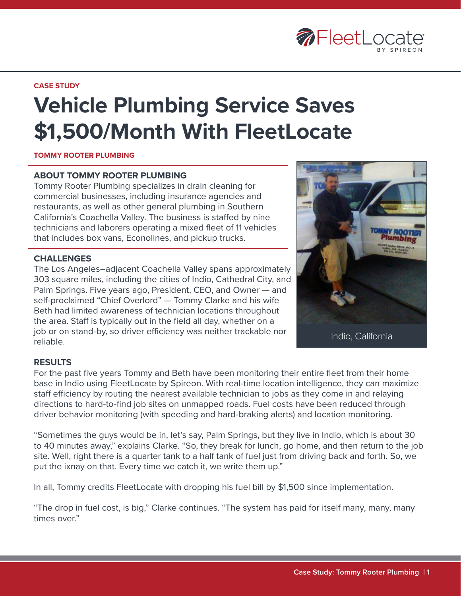

#### **CASE STUDY**

# **Vehicle Plumbing Service Saves \$1,500/Month With FleetLocate**

### **TOMMY ROOTER PLUMBING**

## **ABOUT TOMMY ROOTER PLUMBING**

Tommy Rooter Plumbing specializes in drain cleaning for commercial businesses, including insurance agencies and restaurants, as well as other general plumbing in Southern California's Coachella Valley. The business is staffed by nine technicians and laborers operating a mixed fleet of 11 vehicles that includes box vans, Econolines, and pickup trucks.

### **CHALLENGES**

The Los Angeles–adjacent Coachella Valley spans approximately 303 square miles, including the cities of Indio, Cathedral City, and Palm Springs. Five years ago, President, CEO, and Owner — and self-proclaimed "Chief Overlord" — Tommy Clarke and his wife Beth had limited awareness of technician locations throughout the area. Staff is typically out in the field all day, whether on a job or on stand-by, so driver efficiency was neither trackable nor reliable.



Indio, California

## **RESULTS**

For the past five years Tommy and Beth have been monitoring their entire fleet from their home base in Indio using FleetLocate by Spireon. With real-time location intelligence, they can maximize staff efficiency by routing the nearest available technician to jobs as they come in and relaying directions to hard-to-find job sites on unmapped roads. Fuel costs have been reduced through driver behavior monitoring (with speeding and hard-braking alerts) and location monitoring.

"Sometimes the guys would be in, let's say, Palm Springs, but they live in Indio, which is about 30 to 40 minutes away," explains Clarke. "So, they break for lunch, go home, and then return to the job site. Well, right there is a quarter tank to a half tank of fuel just from driving back and forth. So, we put the ixnay on that. Every time we catch it, we write them up."

In all, Tommy credits FleetLocate with dropping his fuel bill by \$1,500 since implementation.

"The drop in fuel cost, is big," Clarke continues. "The system has paid for itself many, many, many times over."